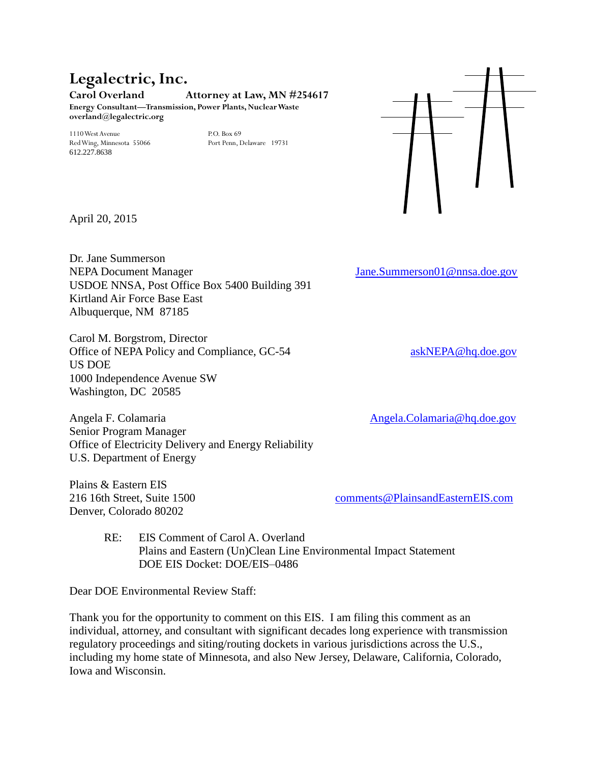# **Legalectric, Inc.**

**Carol Overland Attorney at Law, MN #254617 Energy Consultant—Transmission, Power Plants, Nuclear Waste**

1110 West Avenue P.O. Box 69 Red Wing, Minnesota 55066 612.227.8638

**overland@legalectric.org**



April 20, 2015

Dr. Jane Summerson NEPA Document Manager [Jane.Summerson01@nnsa.doe.gov](mailto:Jane.Summerson01@nnsa.doe.gov) USDOE NNSA, Post Office Box 5400 Building 391 Kirtland Air Force Base East Albuquerque, NM 87185

Carol M. Borgstrom, Director Office of NEPA Policy and Compliance, GC-54 [askNEPA@hq.doe.gov](mailto:askNEPA@hq.doe.gov) US DOE 1000 Independence Avenue SW Washington, DC 20585

Angela F. Colamaria [Angela.Colamaria@hq.doe.gov](mailto:Angela.Colamaria@hq.doe.gov) Senior Program Manager Office of Electricity Delivery and Energy Reliability U.S. Department of Energy

Plains & Eastern EIS Denver, Colorado 80202

216 16th Street, Suite 1500 [comments@PlainsandEasternEIS.com](mailto:comments@PlainsandEasternEIS.com)

RE: EIS Comment of Carol A. Overland Plains and Eastern (Un)Clean Line Environmental Impact Statement DOE EIS Docket: DOE/EIS–0486

Dear DOE Environmental Review Staff:

Thank you for the opportunity to comment on this EIS. I am filing this comment as an individual, attorney, and consultant with significant decades long experience with transmission regulatory proceedings and siting/routing dockets in various jurisdictions across the U.S., including my home state of Minnesota, and also New Jersey, Delaware, California, Colorado, Iowa and Wisconsin.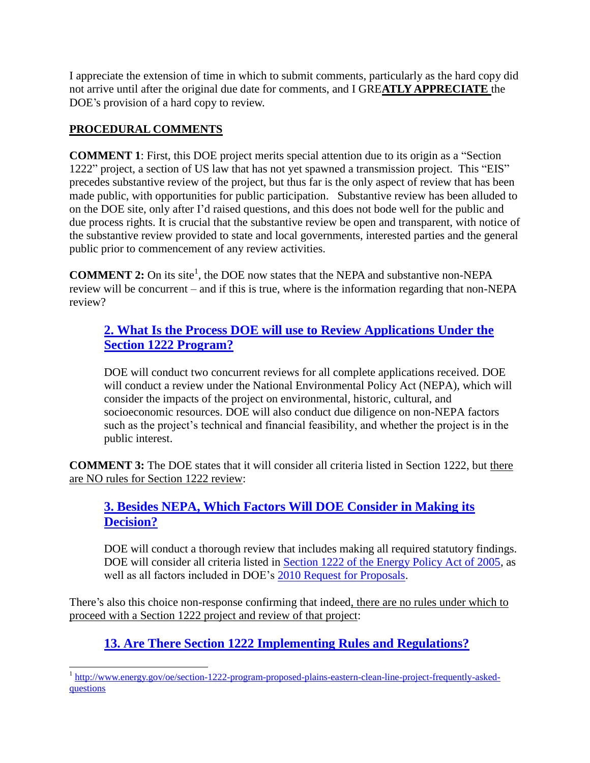I appreciate the extension of time in which to submit comments, particularly as the hard copy did not arrive until after the original due date for comments, and I GRE**ATLY APPRECIATE** the DOE's provision of a hard copy to review.

#### **PROCEDURAL COMMENTS**

**COMMENT 1**: First, this DOE project merits special attention due to its origin as a "Section 1222" project, a section of US law that has not yet spawned a transmission project. This "EIS" precedes substantive review of the project, but thus far is the only aspect of review that has been made public, with opportunities for public participation. Substantive review has been alluded to on the DOE site, only after I'd raised questions, and this does not bode well for the public and due process rights. It is crucial that the substantive review be open and transparent, with notice of the substantive review provided to state and local governments, interested parties and the general public prior to commencement of any review activities.

**COMMENT 2:** On its site<sup>1</sup>, the DOE now states that the NEPA and substantive non-NEPA review will be concurrent – and if this is true, where is the information regarding that non-NEPA review?

#### **[2. What Is the Process DOE will use to Review Applications Under the](http://www.energy.gov/oe/section-1222-program-proposed-plains-eastern-clean-line-project-frequently-asked-questions)  [Section 1222 Program?](http://www.energy.gov/oe/section-1222-program-proposed-plains-eastern-clean-line-project-frequently-asked-questions)**

DOE will conduct two concurrent reviews for all complete applications received. DOE will conduct a review under the National Environmental Policy Act (NEPA), which will consider the impacts of the project on environmental, historic, cultural, and socioeconomic resources. DOE will also conduct due diligence on non-NEPA factors such as the project's technical and financial feasibility, and whether the project is in the public interest.

**COMMENT 3:** The DOE states that it will consider all criteria listed in Section 1222, but there are NO rules for Section 1222 review:

#### **[3. Besides NEPA, Which Factors Will DOE Consider in Making its](http://www.energy.gov/oe/section-1222-program-proposed-plains-eastern-clean-line-project-frequently-asked-questions)  [Decision?](http://www.energy.gov/oe/section-1222-program-proposed-plains-eastern-clean-line-project-frequently-asked-questions)**

DOE will conduct a thorough review that includes making all required statutory findings. DOE will consider all criteria listed in [Section 1222 of the Energy Policy Act of 2005,](http://www.gpo.gov/fdsys/pkg/PLAW-109publ58/pdf/PLAW-109publ58.pdf) as well as all factors included in DOE's [2010 Request for Proposals.](http://www.gpo.gov/fdsys/pkg/FR-2010-06-10/pdf/2010-13943.pdf)

There's also this choice non-response confirming that indeed, there are no rules under which to proceed with a Section 1222 project and review of that project:

## **[13. Are There Section 1222 Implementing Rules and Regulations?](http://www.energy.gov/oe/section-1222-program-proposed-plains-eastern-clean-line-project-frequently-asked-questions)**

<sup>&</sup>lt;sup>1</sup> [http://www.energy.gov/oe/section-1222-program-proposed-plains-eastern-clean-line-project-frequently-asked](http://www.energy.gov/oe/section-1222-program-proposed-plains-eastern-clean-line-project-frequently-asked-questions)[questions](http://www.energy.gov/oe/section-1222-program-proposed-plains-eastern-clean-line-project-frequently-asked-questions)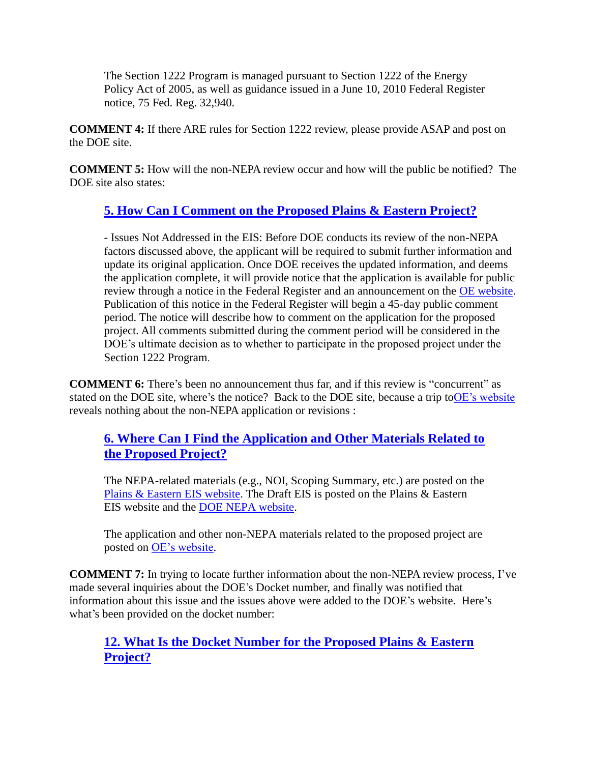The Section 1222 Program is managed pursuant to Section 1222 of the Energy Policy Act of 2005, as well as guidance issued in a June 10, 2010 Federal Register notice, 75 Fed. Reg. 32,940.

**COMMENT 4:** If there ARE rules for Section 1222 review, please provide ASAP and post on the DOE site.

**COMMENT 5:** How will the non-NEPA review occur and how will the public be notified? The DOE site also states:

### **[5. How Can I Comment on the Proposed Plains & Eastern Project?](http://www.energy.gov/oe/section-1222-program-proposed-plains-eastern-clean-line-project-frequently-asked-questions)**

- Issues Not Addressed in the EIS: Before DOE conducts its review of the non-NEPA factors discussed above, the applicant will be required to submit further information and update its original application. Once DOE receives the updated information, and deems the application complete, it will provide notice that the application is available for public review through a notice in the Federal Register and an announcement on the [OE website.](http://www.energy.gov/oe/services/electricity-policy-coordination-and-implementation/transmission-planning/section-1222-0) Publication of this notice in the Federal Register will begin a 45-day public comment period. The notice will describe how to comment on the application for the proposed project. All comments submitted during the comment period will be considered in the DOE's ultimate decision as to whether to participate in the proposed project under the Section 1222 Program.

**COMMENT 6:** There's been no announcement thus far, and if this review is "concurrent" as stated on the DOE site, where's the notice? Back to the DOE site, because a trip t[oOE's website](http://www.energy.gov/oe/services/electricity-policy-coordination-and-implementation/transmission-planning/section-1222-0) reveals nothing about the non-NEPA application or revisions :

#### **[6. Where Can I Find the Application and Other Materials Related to](http://www.energy.gov/oe/section-1222-program-proposed-plains-eastern-clean-line-project-frequently-asked-questions)  [the Proposed Project?](http://www.energy.gov/oe/section-1222-program-proposed-plains-eastern-clean-line-project-frequently-asked-questions)**

The NEPA-related materials (e.g., NOI, Scoping Summary, etc.) are posted on the [Plains & Eastern EIS website.](http://www.energy.gov/exit?url=http%3A//www.plainsandeasterneis.com/) The Draft EIS is posted on the Plains & Eastern EIS website and the [DOE NEPA website.](http://www.energy.gov/nepa/office-nepa-policy-and-compliance)

The application and other non-NEPA materials related to the proposed project are posted on [OE's website.](http://www.energy.gov/oe/services/electricity-policy-coordination-and-implementation/transmission-planning/section-1222-0)

**COMMENT 7:** In trying to locate further information about the non-NEPA review process, I've made several inquiries about the DOE's Docket number, and finally was notified that information about this issue and the issues above were added to the DOE's website. Here's what's been provided on the docket number:

#### **[12. What Is the Docket Number for the Proposed Plains & Eastern](http://www.energy.gov/oe/section-1222-program-proposed-plains-eastern-clean-line-project-frequently-asked-questions)  [Project?](http://www.energy.gov/oe/section-1222-program-proposed-plains-eastern-clean-line-project-frequently-asked-questions)**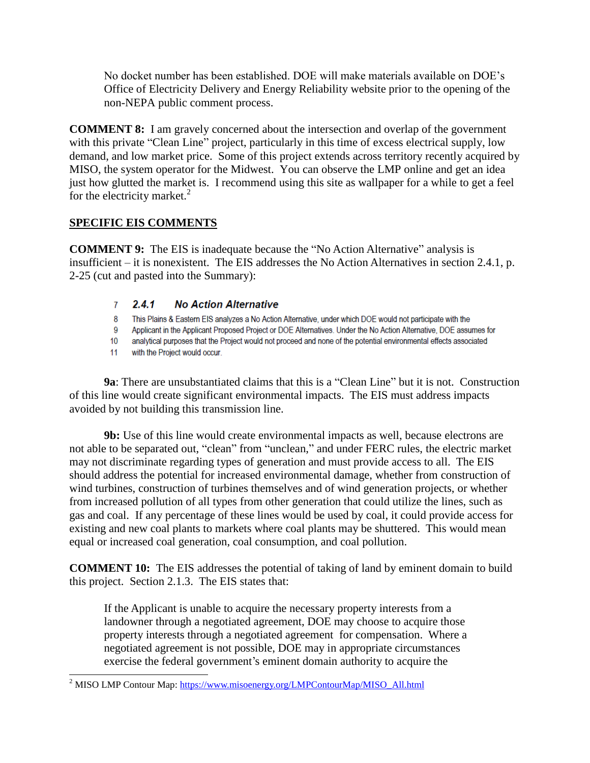No docket number has been established. DOE will make materials available on DOE's Office of Electricity Delivery and Energy Reliability website prior to the opening of the non-NEPA public comment process.

**COMMENT 8:** I am gravely concerned about the intersection and overlap of the government with this private "Clean Line" project, particularly in this time of excess electrical supply, low demand, and low market price. Some of this project extends across territory recently acquired by MISO, the system operator for the Midwest. You can observe the LMP online and get an idea just how glutted the market is. I recommend using this site as wallpaper for a while to get a feel for the electricity market. $^{2}$ 

#### **SPECIFIC EIS COMMENTS**

**COMMENT 9:** The EIS is inadequate because the "No Action Alternative" analysis is insufficient – it is nonexistent. The EIS addresses the No Action Alternatives in section 2.4.1, p. 2-25 (cut and pasted into the Summary):

#### $2.4.1$ **No Action Alternative**  $7<sup>7</sup>$

- 8 This Plains & Eastern EIS analyzes a No Action Alternative, under which DOE would not participate with the
- $9^{\circ}$ Applicant in the Applicant Proposed Project or DOE Alternatives. Under the No Action Alternative, DOE assumes for
- $10<sup>10</sup>$ analytical purposes that the Project would not proceed and none of the potential environmental effects associated
- with the Project would occur.  $11$

 $\overline{a}$ 

**9a**: There are unsubstantiated claims that this is a "Clean Line" but it is not. Construction of this line would create significant environmental impacts. The EIS must address impacts avoided by not building this transmission line.

**9b:** Use of this line would create environmental impacts as well, because electrons are not able to be separated out, "clean" from "unclean," and under FERC rules, the electric market may not discriminate regarding types of generation and must provide access to all. The EIS should address the potential for increased environmental damage, whether from construction of wind turbines, construction of turbines themselves and of wind generation projects, or whether from increased pollution of all types from other generation that could utilize the lines, such as gas and coal. If any percentage of these lines would be used by coal, it could provide access for existing and new coal plants to markets where coal plants may be shuttered. This would mean equal or increased coal generation, coal consumption, and coal pollution.

**COMMENT 10:** The EIS addresses the potential of taking of land by eminent domain to build this project. Section 2.1.3. The EIS states that:

If the Applicant is unable to acquire the necessary property interests from a landowner through a negotiated agreement, DOE may choose to acquire those property interests through a negotiated agreement for compensation. Where a negotiated agreement is not possible, DOE may in appropriate circumstances exercise the federal government's eminent domain authority to acquire the

<sup>&</sup>lt;sup>2</sup> MISO LMP Contour Map: [https://www.misoenergy.org/LMPContourMap/MISO\\_All.html](https://www.misoenergy.org/LMPContourMap/MISO_All.html)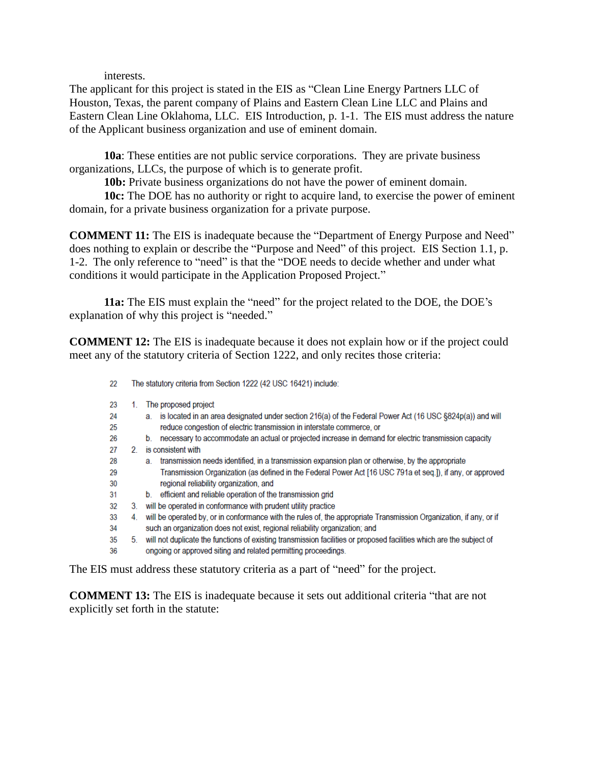interests.

The applicant for this project is stated in the EIS as "Clean Line Energy Partners LLC of Houston, Texas, the parent company of Plains and Eastern Clean Line LLC and Plains and Eastern Clean Line Oklahoma, LLC. EIS Introduction, p. 1-1. The EIS must address the nature of the Applicant business organization and use of eminent domain.

**10a**: These entities are not public service corporations. They are private business organizations, LLCs, the purpose of which is to generate profit.

**10b:** Private business organizations do not have the power of eminent domain.

**10c:** The DOE has no authority or right to acquire land, to exercise the power of eminent domain, for a private business organization for a private purpose.

**COMMENT 11:** The EIS is inadequate because the "Department of Energy Purpose and Need" does nothing to explain or describe the "Purpose and Need" of this project. EIS Section 1.1, p. 1-2. The only reference to "need" is that the "DOE needs to decide whether and under what conditions it would participate in the Application Proposed Project."

**11a:** The EIS must explain the "need" for the project related to the DOE, the DOE's explanation of why this project is "needed."

**COMMENT 12:** The EIS is inadequate because it does not explain how or if the project could meet any of the statutory criteria of Section 1222, and only recites those criteria:

The statutory criteria from Section 1222 (42 USC 16421) include: 22 23 1. The proposed project  $24$ a. is located in an area designated under section 216(a) of the Federal Power Act (16 USC §824p(a)) and will 25 reduce congestion of electric transmission in interstate commerce, or 26 b. necessary to accommodate an actual or projected increase in demand for electric transmission capacity 27 2. is consistent with a. transmission needs identified, in a transmission expansion plan or otherwise, by the appropriate 28 Transmission Organization (as defined in the Federal Power Act [16 USC 791a et seq.]), if any, or approved 29 30 regional reliability organization, and  $31$ b. efficient and reliable operation of the transmission grid 3. will be operated in conformance with prudent utility practice 32 4. will be operated by, or in conformance with the rules of, the appropriate Transmission Organization, if any, or if 33 such an organization does not exist, regional reliability organization; and 34 35 5. will not duplicate the functions of existing transmission facilities or proposed facilities which are the subject of ongoing or approved siting and related permitting proceedings. 36

The EIS must address these statutory criteria as a part of "need" for the project.

**COMMENT 13:** The EIS is inadequate because it sets out additional criteria "that are not explicitly set forth in the statute: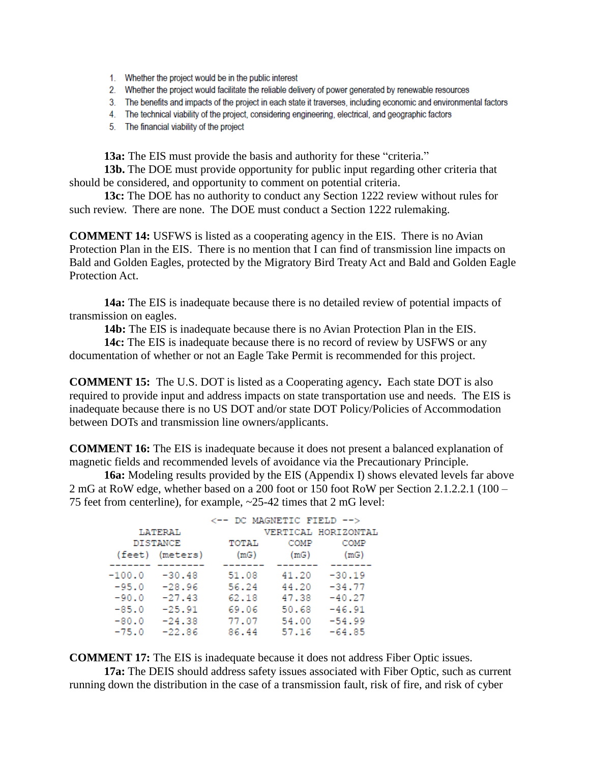- 1. Whether the project would be in the public interest
- 2. Whether the project would facilitate the reliable delivery of power generated by renewable resources
- 3. The benefits and impacts of the project in each state it traverses, including economic and environmental factors
- 4. The technical viability of the project, considering engineering, electrical, and geographic factors
- 5. The financial viability of the project

**13a:** The EIS must provide the basis and authority for these "criteria."

**13b.** The DOE must provide opportunity for public input regarding other criteria that should be considered, and opportunity to comment on potential criteria.

**13c:** The DOE has no authority to conduct any Section 1222 review without rules for such review. There are none. The DOE must conduct a Section 1222 rulemaking.

**COMMENT 14:** USFWS is listed as a cooperating agency in the EIS. There is no Avian Protection Plan in the EIS. There is no mention that I can find of transmission line impacts on Bald and Golden Eagles, protected by the Migratory Bird Treaty Act and Bald and Golden Eagle Protection Act.

**14a:** The EIS is inadequate because there is no detailed review of potential impacts of transmission on eagles.

**14b:** The EIS is inadequate because there is no Avian Protection Plan in the EIS.

**14c:** The EIS is inadequate because there is no record of review by USFWS or any documentation of whether or not an Eagle Take Permit is recommended for this project.

**COMMENT 15:** The U.S. DOT is listed as a Cooperating agency**.** Each state DOT is also required to provide input and address impacts on state transportation use and needs.The EIS is inadequate because there is no US DOT and/or state DOT Policy/Policies of Accommodation between DOTs and transmission line owners/applicants.

**COMMENT 16:** The EIS is inadequate because it does not present a balanced explanation of magnetic fields and recommended levels of avoidance via the Precautionary Principle.

**16a:** Modeling results provided by the EIS (Appendix I) shows elevated levels far above 2 mG at RoW edge, whether based on a 200 foot or 150 foot RoW per Section 2.1.2.2.1 (100 – 75 feet from centerline), for example, ~25-42 times that 2 mG level:

|          |                 | <-- DC MAGNETIC FIELD --> |       |                     |
|----------|-----------------|---------------------------|-------|---------------------|
| LATERAL  |                 |                           |       | VERTICAL HORIZONTAL |
| DISTANCE |                 | TOTAL                     | COMP  | COMP                |
|          | (feet) (meters) | (mG)                      | (mG)  | (mG)                |
| $-100.0$ | $-30.48$        | 51.08                     | 41.20 | $-30.19$            |
|          |                 |                           |       |                     |
| $-95.0$  | $-28.96$        | 56.24                     | 44.20 | $-34.77$            |
| $-90.0$  | $-27.43$        | 62.18                     | 47.38 | $-40.27$            |
| $-85.0$  | $-25.91$        | 69.06                     | 50.68 | $-46.91$            |
| $-80.0$  | $-24.38$        | 77.07                     | 54.00 | $-54.99$            |
| $-75.0$  | $-22.86$        | 86.44                     | 57.16 | $-64.85$            |

**COMMENT 17:** The EIS is inadequate because it does not address Fiber Optic issues.

**17a:** The DEIS should address safety issues associated with Fiber Optic, such as current running down the distribution in the case of a transmission fault, risk of fire, and risk of cyber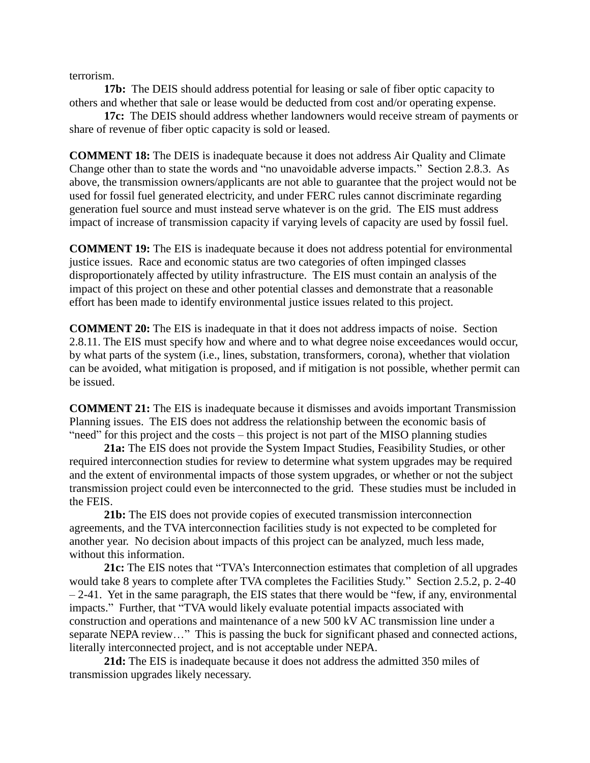terrorism.

**17b:** The DEIS should address potential for leasing or sale of fiber optic capacity to others and whether that sale or lease would be deducted from cost and/or operating expense.

**17c:** The DEIS should address whether landowners would receive stream of payments or share of revenue of fiber optic capacity is sold or leased.

**COMMENT 18:** The DEIS is inadequate because it does not address Air Quality and Climate Change other than to state the words and "no unavoidable adverse impacts." Section 2.8.3. As above, the transmission owners/applicants are not able to guarantee that the project would not be used for fossil fuel generated electricity, and under FERC rules cannot discriminate regarding generation fuel source and must instead serve whatever is on the grid. The EIS must address impact of increase of transmission capacity if varying levels of capacity are used by fossil fuel.

**COMMENT 19:** The EIS is inadequate because it does not address potential for environmental justice issues. Race and economic status are two categories of often impinged classes disproportionately affected by utility infrastructure. The EIS must contain an analysis of the impact of this project on these and other potential classes and demonstrate that a reasonable effort has been made to identify environmental justice issues related to this project.

**COMMENT 20:** The EIS is inadequate in that it does not address impacts of noise. Section 2.8.11. The EIS must specify how and where and to what degree noise exceedances would occur, by what parts of the system (i.e., lines, substation, transformers, corona), whether that violation can be avoided, what mitigation is proposed, and if mitigation is not possible, whether permit can be issued.

**COMMENT 21:** The EIS is inadequate because it dismisses and avoids important Transmission Planning issues. The EIS does not address the relationship between the economic basis of "need" for this project and the costs – this project is not part of the MISO planning studies

**21a:** The EIS does not provide the System Impact Studies, Feasibility Studies, or other required interconnection studies for review to determine what system upgrades may be required and the extent of environmental impacts of those system upgrades, or whether or not the subject transmission project could even be interconnected to the grid. These studies must be included in the FEIS.

**21b:** The EIS does not provide copies of executed transmission interconnection agreements, and the TVA interconnection facilities study is not expected to be completed for another year. No decision about impacts of this project can be analyzed, much less made, without this information.

**21c:** The EIS notes that "TVA's Interconnection estimates that completion of all upgrades would take 8 years to complete after TVA completes the Facilities Study." Section 2.5.2, p. 2-40  $-2-41$ . Yet in the same paragraph, the EIS states that there would be "few, if any, environmental impacts." Further, that "TVA would likely evaluate potential impacts associated with construction and operations and maintenance of a new 500 kV AC transmission line under a separate NEPA review…" This is passing the buck for significant phased and connected actions, literally interconnected project, and is not acceptable under NEPA.

**21d:** The EIS is inadequate because it does not address the admitted 350 miles of transmission upgrades likely necessary.